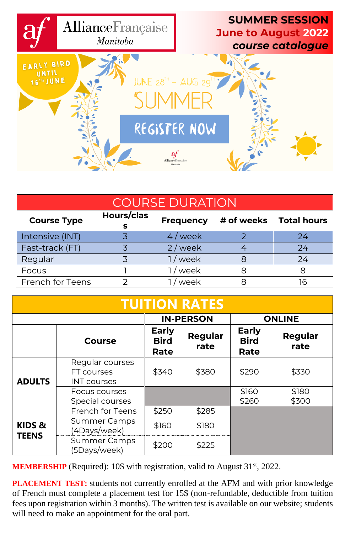

| <b>COURSE DURATION</b> |            |                  |  |                        |
|------------------------|------------|------------------|--|------------------------|
| <b>Course Type</b>     | Hours/clas | <b>Frequency</b> |  | # of weeks Total hours |
| Intensive (INT)        |            | 4/week           |  | 24                     |
| Fast-track (FT)        |            | $2$ / week       |  | 24                     |
| Regular                |            | 1 / week         |  | 24                     |
| Focus                  |            | / week           |  | я                      |
| French for Teens       |            | week             |  |                        |

| <b>TUITION RATES</b>   |                                                     |                                     |                  |                                     |                 |
|------------------------|-----------------------------------------------------|-------------------------------------|------------------|-------------------------------------|-----------------|
|                        |                                                     |                                     | <b>IN-PERSON</b> |                                     | <b>ONLINE</b>   |
|                        | Course                                              | <b>Early</b><br><b>Bird</b><br>Rate | Regular<br>rate  | <b>Early</b><br><b>Bird</b><br>Rate | Regular<br>rate |
| <b>ADULTS</b>          | Regular courses<br>FT courses<br><b>INT</b> courses | \$340                               | \$380            | \$290                               | \$330           |
|                        | Focus courses<br>Special courses                    |                                     |                  | \$160<br>\$260                      | \$180<br>\$300  |
|                        | French for Teens                                    | \$250                               | \$285            |                                     |                 |
| KIDS &<br><b>TEENS</b> | <b>Summer Camps</b><br>(4Days/week)                 | \$160                               | \$180            |                                     |                 |
|                        | <b>Summer Camps</b><br>(5Days/week)                 | \$200                               | \$225            |                                     |                 |

**MEMBERSHIP** (Required): 10\$ with registration, valid to August 31<sup>st</sup>, 2022.

**PLACEMENT TEST:** students not currently enrolled at the AFM and with prior knowledge of French must complete a placement test for 15\$ (non-refundable, deductible from tuition fees upon registration within 3 months). The written test is available on our website; students will need to make an appointment for the oral part.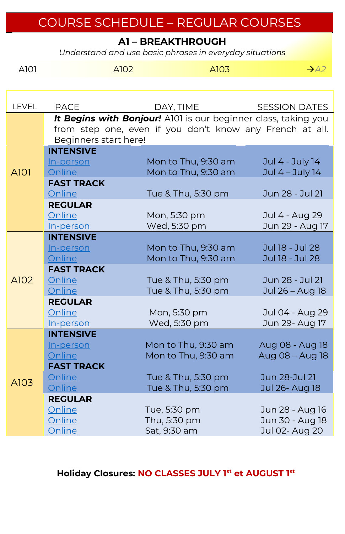# COURSE SCHEDULE – REGULAR COURSES

**A1 – BREAKTHROUGH**

*Understand and use basic phrases in everyday situations*

| A101         | A102                                                     | A103                                                           | $\rightarrow$ A2                   |  |  |  |
|--------------|----------------------------------------------------------|----------------------------------------------------------------|------------------------------------|--|--|--|
|              |                                                          |                                                                |                                    |  |  |  |
|              |                                                          |                                                                |                                    |  |  |  |
| <b>LEVEL</b> | <b>PACE</b>                                              | DAY, TIME                                                      | <b>SESSION DATES</b>               |  |  |  |
|              |                                                          | It Begins with Bonjour! A101 is our beginner class, taking you |                                    |  |  |  |
|              | from step one, even if you don't know any French at all. |                                                                |                                    |  |  |  |
|              | Beginners start here!                                    |                                                                |                                    |  |  |  |
|              | <b>INTENSIVE</b>                                         | Mon to Thu, 9:30 am                                            | Jul 4 - July 14                    |  |  |  |
| A101         | In-person<br>Online                                      | Mon to Thu, 9:30 am                                            | Jul 4 - July 14                    |  |  |  |
|              | <b>FAST TRACK</b>                                        |                                                                |                                    |  |  |  |
|              | Online                                                   | Tue & Thu, 5:30 pm                                             | Jun 28 - Jul 21                    |  |  |  |
|              | <b>REGULAR</b>                                           |                                                                |                                    |  |  |  |
|              | Online                                                   | Mon, 5:30 pm                                                   | Jul 4 - Aug 29                     |  |  |  |
|              | In-person                                                | Wed, 5:30 pm                                                   | Jun 29 - Aug 17                    |  |  |  |
|              | <b>INTENSIVE</b>                                         |                                                                |                                    |  |  |  |
|              | In-person                                                | Mon to Thu, 9:30 am                                            | Jul 18 - Jul 28                    |  |  |  |
|              | Online                                                   | Mon to Thu, 9:30 am                                            | Jul 18 - Jul 28                    |  |  |  |
|              | <b>FAST TRACK</b>                                        |                                                                |                                    |  |  |  |
| A102         | Online                                                   | Tue & Thu, 5:30 pm                                             | Jun 28 - Jul 21                    |  |  |  |
|              | Online                                                   | Tue & Thu, 5:30 pm                                             | Jul 26 - Aug 18                    |  |  |  |
|              | <b>REGULAR</b>                                           |                                                                |                                    |  |  |  |
|              | Online                                                   | Mon, 5:30 pm                                                   | Jul 04 - Aug 29                    |  |  |  |
|              | In-person                                                | Wed, 5:30 pm                                                   | Jun 29- Aug 17                     |  |  |  |
|              | <b>INTENSIVE</b>                                         | Mon to Thu, 9:30 am                                            |                                    |  |  |  |
|              | In-person<br>Online                                      | Mon to Thu, 9:30 am                                            | Aug 08 - Aug 18<br>Aug 08 - Aug 18 |  |  |  |
|              | <b>FAST TRACK</b>                                        |                                                                |                                    |  |  |  |
|              | Online                                                   | Tue & Thu, 5:30 pm                                             | Jun 28-Jul 21                      |  |  |  |
| A103         | Online                                                   | Tue & Thu, 5:30 pm                                             | Jul 26- Aug 18                     |  |  |  |
|              | <b>REGULAR</b>                                           |                                                                |                                    |  |  |  |
|              | Online                                                   | Tue, 5:30 pm                                                   | Jun 28 - Aug 16                    |  |  |  |
|              | Online                                                   | Thu, 5:30 pm                                                   | Jun 30 - Aug 18                    |  |  |  |
|              | Online                                                   | Sat, 9:30 am                                                   | Jul 02- Aug 20                     |  |  |  |

#### **Holiday Closures: NO CLASSES JULY 1st et AUGUST 1st**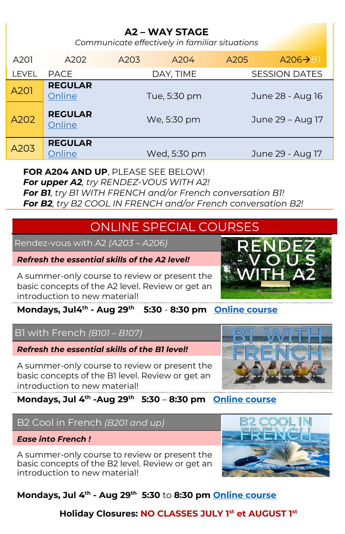## **A2 – WAY STAGE**

*Communicate effectively in familiar situations*

| A201         | A202                     | A203 | A204         | A205 | $A206 \rightarrow B1$ |
|--------------|--------------------------|------|--------------|------|-----------------------|
| <b>LEVEL</b> | <b>PACE</b>              |      | DAY, TIME    |      | <b>SESSION DATES</b>  |
| A201         | <b>REGULAR</b><br>Online |      | Tue, 5:30 pm |      | June 28 - Aug 16      |
| A202         | <b>REGULAR</b><br>Online |      | We, 5:30 pm  |      | June 29 - Aug 17      |
| A203         | <b>REGULAR</b><br>Online |      | Wed, 5:30 pm |      | June 29 - Aug 17      |

#### **FOR A204 AND UP**, PLEASE SEE BELOW!

*For upper A2, try RENDEZ-VOUS WITH A2!*

*For B1, try B1 WITH FRENCH and/or French conversation B1! For B2, try B2 COOL IN FRENCH and/or French conversation B2!*

## ONLINE SPECIAL COURSES

Rendez-vous with A2 *(A203 – A206)*

#### *Refresh the essential skills of the A2 level!*

A summer-only course to review or present the basic concepts of the A2 level. Review or get an introduction to new material!

**Mondays, Jul4 th - Aug 29 th 5:30** - **8:30 pm [Online course](https://www.afmanitoba.ca/af/course-selector/?product_id=7046)**

### B1 with French *(B101 – B107)*

#### *Refresh the essential skills of the B1 level!*

A summer-only course to review or present the basic concepts of the B1 level. Review or get an introduction to new material!

### **Mondays, Jul 4 th -Aug 29 th 5:30** – **8:30 pm [Online course](https://www.afmanitoba.ca/af/course-selector/?product_id=7047)**

## B2 Cool in French *(B201 and up)*

#### *Ease into French !*

A summer-only course to review or present the basic concepts of the B2 level. Review or get an introduction to new material!



## **Mondays, Jul 4 th - Aug 29 th 5:30** to **8:30 pm [Online course](https://www.afmanitoba.ca/af/course-selector/?product_id=7048)**

### **Holiday Closures: NO CLASSES JULY 1st et AUGUST 1st**



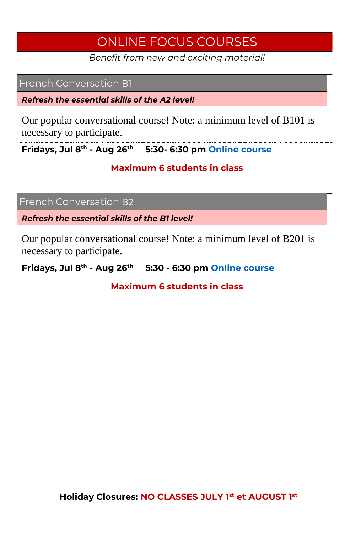## ONLINE FOCUS COURSES

*Benefit from new and exciting material!*

#### French Conversation B1

*Refresh the essential skills of the A2 level!*

Our popular conversational course! Note: a minimum level of B101 is necessary to participate.

**Fridays, Jul 8th - Aug 26th 5:30- 6:30 pm [Online course](https://www.afmanitoba.ca/af/course-selector/?product_id=7061)**

#### **Maximum 6 students in class**

French Conversation B2

*Refresh the essential skills of the B1 level!*

Our popular conversational course! Note: a minimum level of B201 is necessary to participate.

**Fridays, Jul 8th - Aug 26th 5:30** - **6:30 pm [Online course](https://www.afmanitoba.ca/af/course-selector/?product_id=7062)**

**Maximum 6 students in class**

**Holiday Closures: NO CLASSES JULY 1st et AUGUST 1st**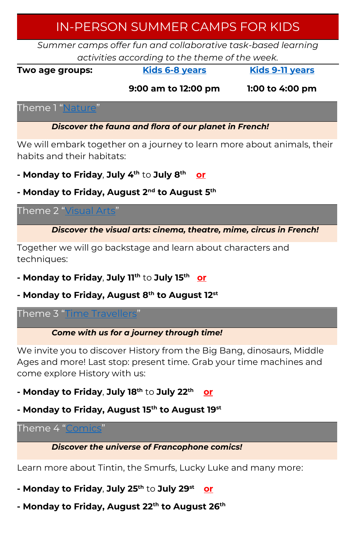## IN-PERSON SUMMER CAMPS FOR KIDS

*Summer camps offer fun and collaborative task-based learning activities according to the theme of the week.*

**Two age groups: [Kids 6-8 years](https://www.afmanitoba.ca/af/course-selector/?age_group_id=3)**

**[Kids 9-11 years](https://www.afmanitoba.ca/af/course-selector/?age_group_id=3)**

**9:00 am to 12:00 pm**

**1:00 to 4:00 pm**

Theme 1 "[Nature](https://www.afmanitoba.ca/af/course-selector/?age_group_id=3)"

*Discover the fauna and flora of our planet in French!*

We will embark together on a journey to learn more about animals, their habits and their habitats:

- **- Monday to Friday**, **July 4th** to **July 8th or**
- **- Monday to Friday, August 2nd to August 5th**

Theme 2 "[Visual Arts](https://www.afmanitoba.ca/af/course-selector/?age_group_id=3)"

*Discover the visual arts: cinema, theatre, mime, circus in French!* 

Together we will go backstage and learn about characters and techniques:

- **- Monday to Friday**, **July 11th** to **July 15th or**
- **- Monday to Friday, August 8th to August 12st**

Theme 3 "[Time Travellers](https://www.afmanitoba.ca/af/course-selector/?age_group_id=3)"

*Come with us for a journey through time!*

We invite you to discover History from the Big Bang, dinosaurs, Middle Ages and more! Last stop: present time. Grab your time machines and come explore History with us:

- **- Monday to Friday**, **July 18th** to **July 22th or**
- **- Monday to Friday, August 15th to August 19st**

Theme 4 "[Comics](https://www.afmanitoba.ca/af/course-selector/?age_group_id=3)"

*Discover the universe of Francophone comics!*

Learn more about Tintin, the Smurfs, Lucky Luke and many more:

- **- Monday to Friday**, **July 25th** to **July 29st or**
- **- Monday to Friday, August 22th to August 26th**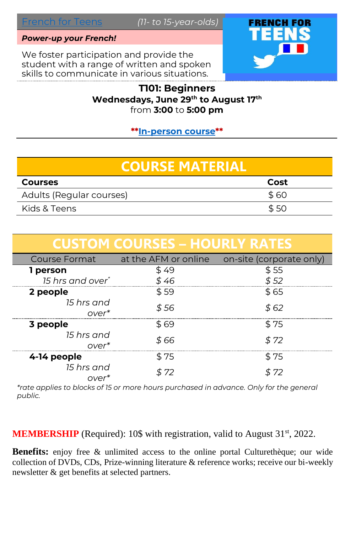#### *Power-up your French!*

We foster participation and provide the student with a range of written and spoken skills to communicate in various situations.



#### **T101: Beginners Wednesdays, June 29th to August 17th** from **3:00** to **5:00 pm**

**\*[\\*In-person course\\*](https://www.afmanitoba.ca/af/course-selector/?product_id=7059)\***

# **COURSE MATERIAL**

| <b>Courses</b>           | Cost |
|--------------------------|------|
| Adults (Regular courses) | \$60 |
| Kids & Teens             | \$50 |

|                                 | <b>CUSTOM COURSES – HOURLY RATES</b> |                          |
|---------------------------------|--------------------------------------|--------------------------|
| Course Format                   | at the AFM or online                 | on-site (corporate only) |
| 1 person                        | \$49                                 | \$55                     |
| 15 hrs and over*                | \$ 46                                | \$52                     |
| 2 people                        | \$59                                 | \$ 65                    |
| 15 hrs and<br>over <sup>*</sup> | \$ 56                                | \$ 62                    |
| 3 people                        | \$ 69                                | \$ 75                    |
| 15 hrs and<br>over <sup>*</sup> | \$ 66                                | \$ 72                    |
| 4-14 people                     | \$ 75                                | \$ 75                    |
| 15 hrs and<br>$OVer^*$          | \$ 72                                | \$ 72                    |

*\*rate applies to blocks of 15 or more hours purchased in advance. Only for the general public.*

MEMBERSHIP (Required): 10\$ with registration, valid to August 31<sup>st</sup>, 2022.

**Benefits:** enjoy free & unlimited access to the online portal Culturethèque; our wide collection of DVDs, CDs, Prize-winning literature & reference works; receive our bi-weekly newsletter & get benefits at selected partners.